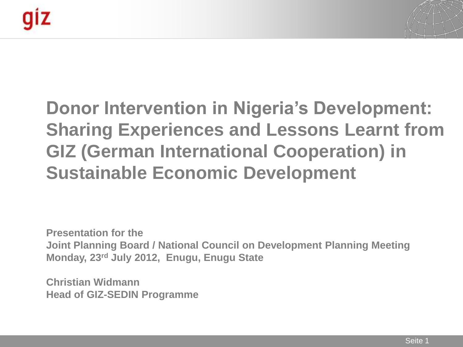

## **Donor Intervention in Nigeria's Development: Sharing Experiences and Lessons Learnt from GIZ (German International Cooperation) in Sustainable Economic Development**

**Presentation for the Joint Planning Board / National Council on Development Planning Meeting Monday, 23rd July 2012, Enugu, Enugu State**

**Christian Widmann Head of GIZ-SEDIN Programme**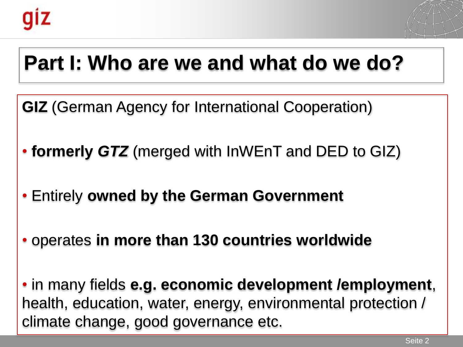



## **Part I: Who are we and what do we do?**

- **GIZ** (German Agency for International Cooperation)
- **formerly** *GTZ* (merged with InWEnT and DED to GIZ)
- Entirely **owned by the German Government**
- operates **in more than 130 countries worldwide**

• in many fields **e.g. economic development /employment**, health, education, water, energy, environmental protection / climate change, good governance etc.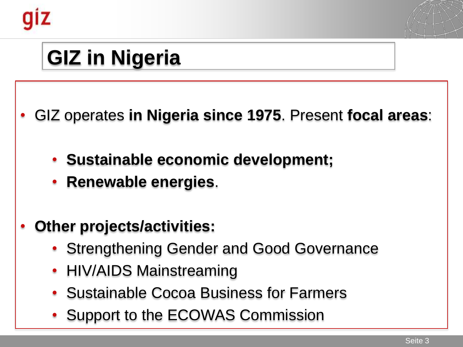



## **GIZ in Nigeria**

- GIZ operates **in Nigeria since 1975**. Present **focal areas**:
	- **Sustainable economic development;**
	- **Renewable energies**.
- **Other projects/activities:**
	- Strengthening Gender and Good Governance
	- HIV/AIDS Mainstreaming
	- Sustainable Cocoa Business for Farmers
	- Support to the ECOWAS Commission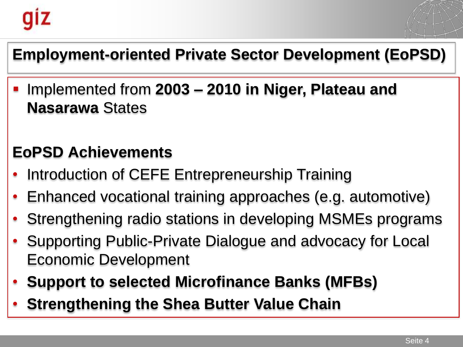### **Employment-oriented Private Sector Development (EoPSD)**

 Implemented from **2003 – 2010 in Niger, Plateau and Nasarawa** States

### **EoPSD Achievements**

- Introduction of CEFE Entrepreneurship Training
- Enhanced vocational training approaches (e.g. automotive)
- Strengthening radio stations in developing MSMEs programs
- Supporting Public-Private Dialogue and advocacy for Local Economic Development
- **Support to selected Microfinance Banks (MFBs)**
- **Strengthening the Shea Butter Value Chain**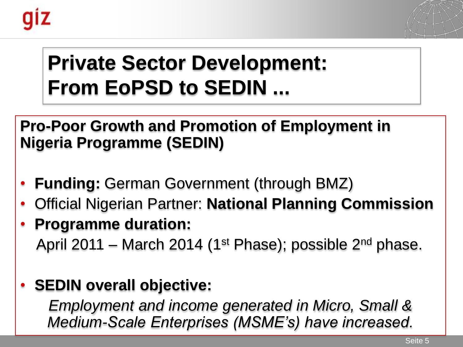



## **Private Sector Development: From EoPSD to SEDIN ...**

#### **Pro-Poor Growth and Promotion of Employment in Nigeria Programme (SEDIN)**

- **Funding:** German Government (through BMZ)
- Official Nigerian Partner: **National Planning Commission**
- **Programme duration:**

April 2011 – March 2014 (1<sup>st</sup> Phase); possible 2<sup>nd</sup> phase.

### • **SEDIN overall objective:**

*Employment and income generated in Micro, Small & Medium-Scale Enterprises (MSME's) have increased.*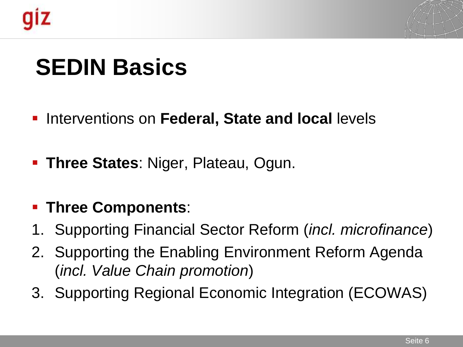



## **SEDIN Basics**

- **Interventions on Federal, State and local levels**
- **Three States**: Niger, Plateau, Ogun.

### **Three Components**:

- 1. Supporting Financial Sector Reform (*incl. microfinance*)
- 2. Supporting the Enabling Environment Reform Agenda (*incl. Value Chain promotion*)
- 3. Supporting Regional Economic Integration (ECOWAS)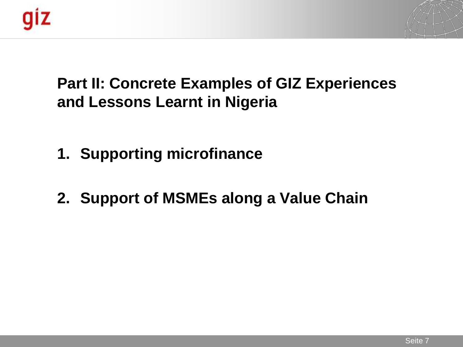



### **Part II: Concrete Examples of GIZ Experiences and Lessons Learnt in Nigeria**

- **1. Supporting microfinance**
- **2. Support of MSMEs along a Value Chain**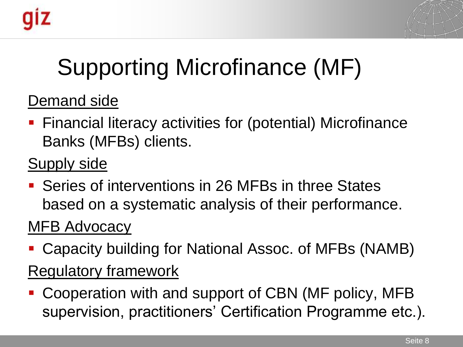



## Supporting Microfinance (MF)

Demand side

- **Financial literacy activities for (potential) Microfinance** Banks (MFBs) clients.
- **Supply side**
- Series of interventions in 26 MFBs in three States based on a systematic analysis of their performance.

MFB Advocacy

- Capacity building for National Assoc. of MFBs (NAMB) Regulatory framework
- Cooperation with and support of CBN (MF policy, MFB supervision, practitioners' Certification Programme etc.).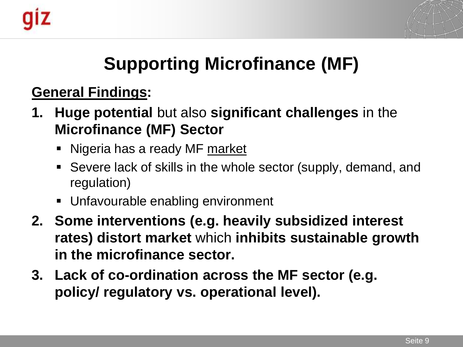



## **Supporting Microfinance (MF)**

#### **General Findings:**

- **1. Huge potential** but also **significant challenges** in the **Microfinance (MF) Sector**
	- Nigeria has a ready MF market
	- Severe lack of skills in the whole sector (supply, demand, and regulation)
	- Unfavourable enabling environment
- **2. Some interventions (e.g. heavily subsidized interest rates) distort market** which **inhibits sustainable growth in the microfinance sector.**
- **3. Lack of co-ordination across the MF sector (e.g. policy/ regulatory vs. operational level).**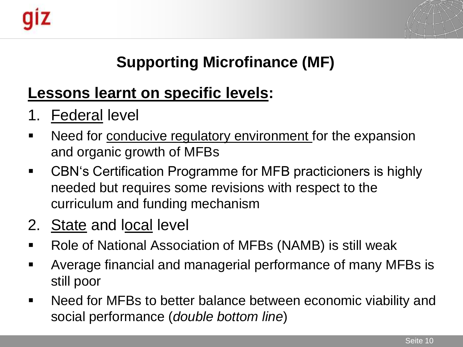



### **Supporting Microfinance (MF)**

### **Lessons learnt on specific levels:**

- 1. Federal level
- Need for conducive regulatory environment for the expansion and organic growth of MFBs
- CBN's Certification Programme for MFB practicioners is highly needed but requires some revisions with respect to the curriculum and funding mechanism
- 2. State and local level
- Role of National Association of MFBs (NAMB) is still weak
- Average financial and managerial performance of many MFBs is still poor
- Need for MFBs to better balance between economic viability and social performance (*double bottom line*)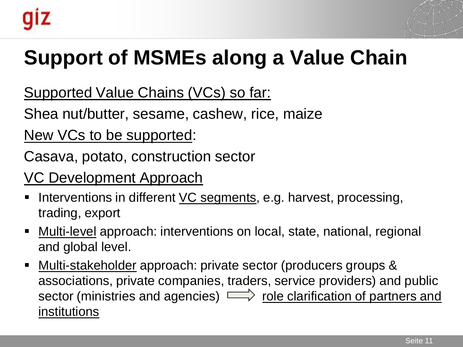

## **Support of MSMEs along a Value Chain**

Supported Value Chains (VCs) so far:

Shea nut/butter, sesame, cashew, rice, maize

New VCs to be supported:

Casava, potato, construction sector

#### VC Development Approach

- Interventions in different VC segments, e.g. harvest, processing, trading, export
- Multi-level approach: interventions on local, state, national, regional and global level.
- Multi-stakeholder approach: private sector (producers groups & associations, private companies, traders, service providers) and public sector (ministries and agencies)  $\implies$  role clarification of partners and institutions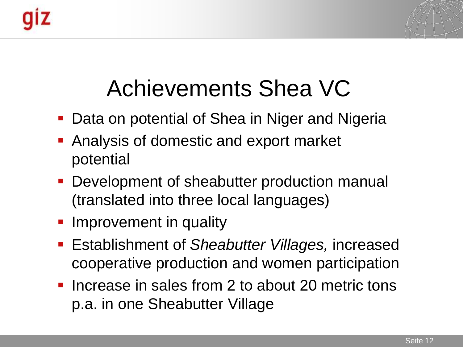



## Achievements Shea VC

- Data on potential of Shea in Niger and Nigeria
- Analysis of domestic and export market potential
- **Development of sheabutter production manual** (translated into three local languages)
- **Improvement in quality**
- Establishment of *Sheabutter Villages,* increased cooperative production and women participation
- $\blacksquare$  Increase in sales from 2 to about 20 metric tons p.a. in one Sheabutter Village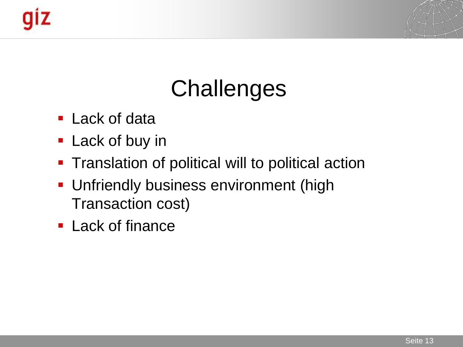



## **Challenges**

- Lack of data
- **Lack of buy in**
- **Translation of political will to political action**
- **Unfriendly business environment (high** Transaction cost)
- **Lack of finance**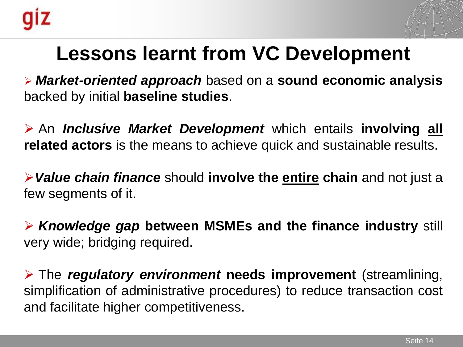

## **Lessons learnt from VC Development**

 *Market-oriented approach* based on a **sound economic analysis** backed by initial **baseline studies**.

 An *Inclusive Market Development* which entails **involving all related actors** is the means to achieve quick and sustainable results.

*Value chain finance* should **involve the entire chain** and not just a few segments of it.

 *Knowledge gap* **between MSMEs and the finance industry** still very wide; bridging required.

 The *regulatory environment* **needs improvement** (streamlining, simplification of administrative procedures) to reduce transaction cost and facilitate higher competitiveness.